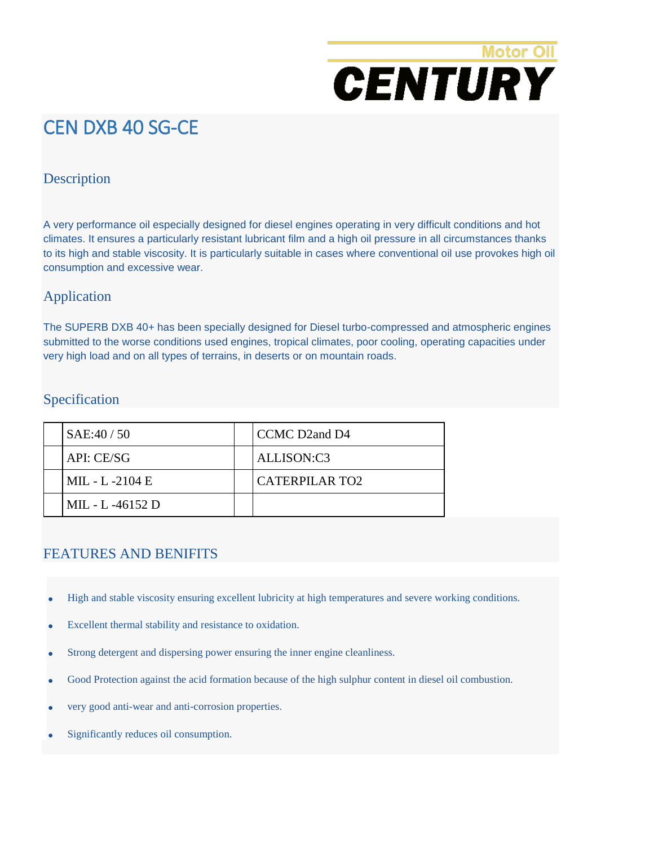# **Motor Oil CENTURY**

# CEN DXB 40 SG-CE

#### **Description**

A very performance oil especially designed for diesel engines operating in very difficult conditions and hot climates. It ensures a particularly resistant lubricant film and a high oil pressure in all circumstances thanks to its high and stable viscosity. It is particularly suitable in cases where conventional oil use provokes high oil consumption and excessive wear.

### Application

The SUPERB DXB 40+ has been specially designed for Diesel turbo-compressed and atmospheric engines submitted to the worse conditions used engines, tropical climates, poor cooling, operating capacities under very high load and on all types of terrains, in deserts or on mountain roads.

#### Specification

| SAE:40/50        | CCMC D2and D4  |
|------------------|----------------|
| API: CE/SG       | ALLISON:C3     |
| MIL - L -2104 E  | CATERPILAR TO2 |
| MIL - L -46152 D |                |

#### FEATURES AND BENIFITS

- High and stable viscosity ensuring excellent lubricity at high temperatures and severe working conditions.
- Excellent thermal stability and resistance to oxidation.
- Strong detergent and dispersing power ensuring the inner engine cleanliness.
- Good Protection against the acid formation because of the high sulphur content in diesel oil combustion.
- very good anti-wear and anti-corrosion properties.
- Significantly reduces oil consumption.